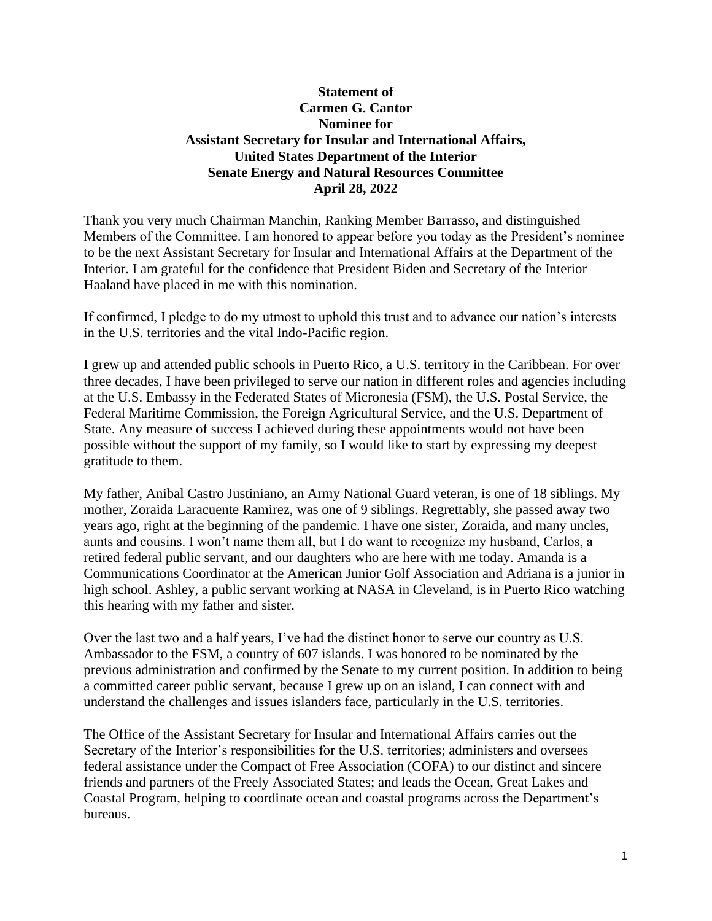## **Statement of Carmen G. Cantor Nominee for Assistant Secretary for Insular and International Affairs, United States Department of the Interior Senate Energy and Natural Resources Committee April 28, 2022**

Thank you very much Chairman Manchin, Ranking Member Barrasso, and distinguished Members of the Committee. I am honored to appear before you today as the President's nominee to be the next Assistant Secretary for Insular and International Affairs at the Department of the Interior. I am grateful for the confidence that President Biden and Secretary of the Interior Haaland have placed in me with this nomination.

If confirmed, I pledge to do my utmost to uphold this trust and to advance our nation's interests in the U.S. territories and the vital Indo-Pacific region.

I grew up and attended public schools in Puerto Rico, a U.S. territory in the Caribbean. For over three decades, I have been privileged to serve our nation in different roles and agencies including at the U.S. Embassy in the Federated States of Micronesia (FSM), the U.S. Postal Service, the Federal Maritime Commission, the Foreign Agricultural Service, and the U.S. Department of State. Any measure of success I achieved during these appointments would not have been possible without the support of my family, so I would like to start by expressing my deepest gratitude to them.

My father, Anibal Castro Justiniano, an Army National Guard veteran, is one of 18 siblings. My mother, Zoraida Laracuente Ramirez, was one of 9 siblings. Regrettably, she passed away two years ago, right at the beginning of the pandemic. I have one sister, Zoraida, and many uncles, aunts and cousins. I won't name them all, but I do want to recognize my husband, Carlos, a retired federal public servant, and our daughters who are here with me today. Amanda is a Communications Coordinator at the American Junior Golf Association and Adriana is a junior in high school. Ashley, a public servant working at NASA in Cleveland, is in Puerto Rico watching this hearing with my father and sister.

Over the last two and a half years, I've had the distinct honor to serve our country as U.S. Ambassador to the FSM, a country of 607 islands. I was honored to be nominated by the previous administration and confirmed by the Senate to my current position. In addition to being a committed career public servant, because I grew up on an island, I can connect with and understand the challenges and issues islanders face, particularly in the U.S. territories.

The Office of the Assistant Secretary for Insular and International Affairs carries out the Secretary of the Interior's responsibilities for the U.S. territories; administers and oversees federal assistance under the Compact of Free Association (COFA) to our distinct and sincere friends and partners of the Freely Associated States; and leads the Ocean, Great Lakes and Coastal Program, helping to coordinate ocean and coastal programs across the Department's bureaus.